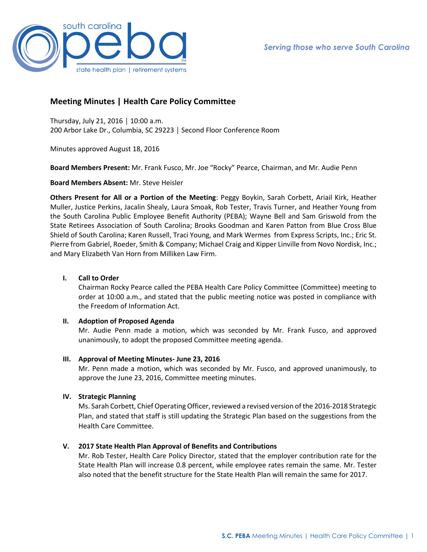

# **Meeting Minutes | Health Care Policy Committee**

Thursday, July 21, 2016 │ 10:00 a.m. 200 Arbor Lake Dr., Columbia, SC 29223 │ Second Floor Conference Room

Minutes approved August 18, 2016

**Board Members Present:** Mr. Frank Fusco, Mr. Joe "Rocky" Pearce, Chairman, and Mr. Audie Penn

**Board Members Absent:** Mr. Steve Heisler

**Others Present for All or a Portion of the Meeting**: Peggy Boykin, Sarah Corbett, Ariail Kirk, Heather Muller, Justice Perkins, Jacalin Shealy, Laura Smoak, Rob Tester, Travis Turner, and Heather Young from the South Carolina Public Employee Benefit Authority (PEBA); Wayne Bell and Sam Griswold from the State Retirees Association of South Carolina; Brooks Goodman and Karen Patton from Blue Cross Blue Shield of South Carolina; Karen Russell, Traci Young, and Mark Wermes from Express Scripts, Inc.; Eric St. Pierre from Gabriel, Roeder, Smith & Company; Michael Craig and Kipper Linville from Novo Nordisk, Inc.; and Mary Elizabeth Van Horn from Milliken Law Firm.

### **I. Call to Order**

Chairman Rocky Pearce called the PEBA Health Care Policy Committee (Committee) meeting to order at 10:00 a.m., and stated that the public meeting notice was posted in compliance with the Freedom of Information Act.

### **II. Adoption of Proposed Agenda**

Mr. Audie Penn made a motion, which was seconded by Mr. Frank Fusco, and approved unanimously, to adopt the proposed Committee meeting agenda.

### **III. Approval of Meeting Minutes- June 23, 2016**

Mr. Penn made a motion, which was seconded by Mr. Fusco, and approved unanimously, to approve the June 23, 2016, Committee meeting minutes.

## **IV. Strategic Planning**

Ms. Sarah Corbett, Chief Operating Officer, reviewed a revised version of the 2016-2018 Strategic Plan, and stated that staff is still updating the Strategic Plan based on the suggestions from the Health Care Committee.

## **V. 2017 State Health Plan Approval of Benefits and Contributions**

Mr. Rob Tester, Health Care Policy Director, stated that the employer contribution rate for the State Health Plan will increase 0.8 percent, while employee rates remain the same. Mr. Tester also noted that the benefit structure for the State Health Plan will remain the same for 2017.